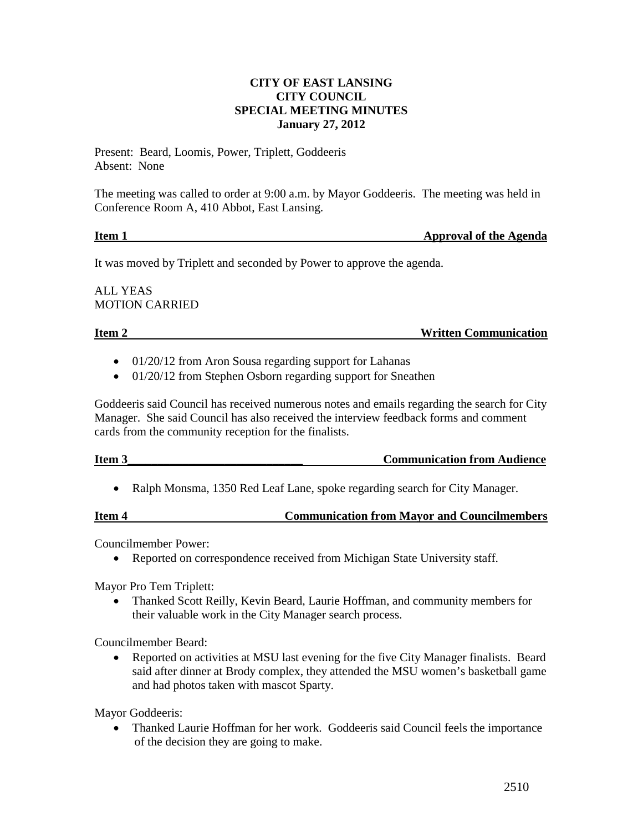#### **CITY OF EAST LANSING CITY COUNCIL SPECIAL MEETING MINUTES January 27, 2012**

Present: Beard, Loomis, Power, Triplett, Goddeeris Absent: None

The meeting was called to order at 9:00 a.m. by Mayor Goddeeris. The meeting was held in Conference Room A, 410 Abbot, East Lansing.

## **Item 1** Approval of the Agenda

It was moved by Triplett and seconded by Power to approve the agenda.

ALL YEAS MOTION CARRIED

**Item 2** Written Communication

- 01/20/12 from Aron Sousa regarding support for Lahanas
- 01/20/12 from Stephen Osborn regarding support for Sneathen

Goddeeris said Council has received numerous notes and emails regarding the search for City Manager. She said Council has also received the interview feedback forms and comment cards from the community reception for the finalists.

# **Item 3** Communication from Audience

• Ralph Monsma, 1350 Red Leaf Lane, spoke regarding search for City Manager.

#### **Item 4 Communication from Mayor and Councilmembers**

Councilmember Power:

• Reported on correspondence received from Michigan State University staff.

Mayor Pro Tem Triplett:

• Thanked Scott Reilly, Kevin Beard, Laurie Hoffman, and community members for their valuable work in the City Manager search process.

Councilmember Beard:

• Reported on activities at MSU last evening for the five City Manager finalists. Beard said after dinner at Brody complex, they attended the MSU women's basketball game and had photos taken with mascot Sparty.

Mayor Goddeeris:

• Thanked Laurie Hoffman for her work. Goddeeris said Council feels the importance of the decision they are going to make.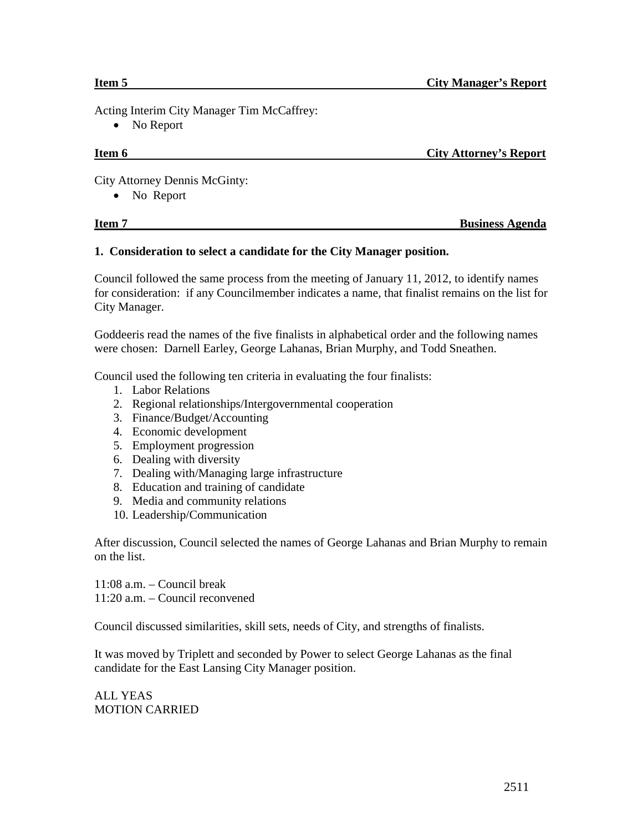Acting Interim City Manager Tim McCaffrey:

• No Report

# **Item 6** City Attorney's Report

City Attorney Dennis McGinty:

• No Report

### **1. Consideration to select a candidate for the City Manager position.**

Council followed the same process from the meeting of January 11, 2012, to identify names for consideration: if any Councilmember indicates a name, that finalist remains on the list for City Manager.

Goddeeris read the names of the five finalists in alphabetical order and the following names were chosen: Darnell Earley, George Lahanas, Brian Murphy, and Todd Sneathen.

Council used the following ten criteria in evaluating the four finalists:

- 1. Labor Relations
- 2. Regional relationships/Intergovernmental cooperation
- 3. Finance/Budget/Accounting
- 4. Economic development
- 5. Employment progression
- 6. Dealing with diversity
- 7. Dealing with/Managing large infrastructure
- 8. Education and training of candidate
- 9. Media and community relations
- 10. Leadership/Communication

After discussion, Council selected the names of George Lahanas and Brian Murphy to remain on the list.

11:08 a.m. – Council break 11:20 a.m. – Council reconvened

Council discussed similarities, skill sets, needs of City, and strengths of finalists.

It was moved by Triplett and seconded by Power to select George Lahanas as the final candidate for the East Lansing City Manager position.

ALL YEAS MOTION CARRIED